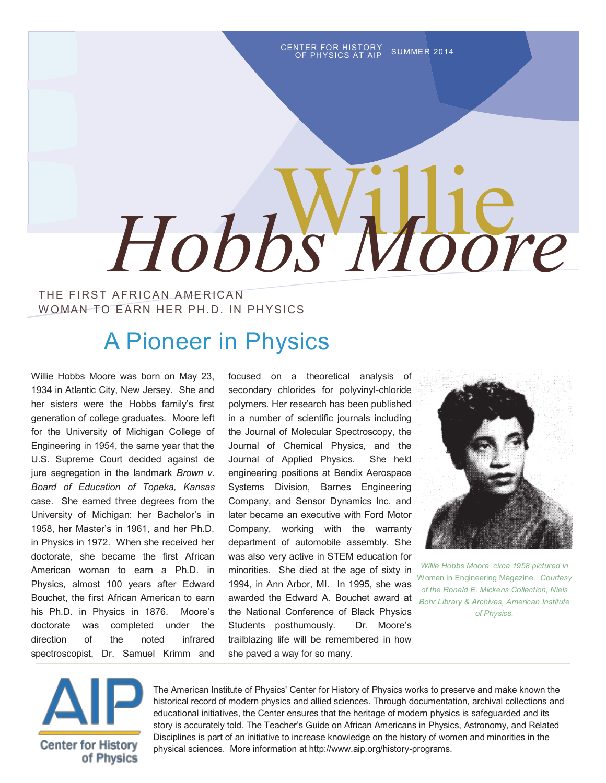CENTER FOR HISTORY SUMMER 2014

# Willie  *Hobbs Moore*

#### THE FIRST AFRICAN AMERICAN WOMAN TO EARN HER PH.D. IN PHYSICS

## A Pioneer in Physics

Willie Hobbs Moore was born on May 23, 1934 in Atlantic City, New Jersey. She and her sisters were the Hobbs family's first generation of college graduates. Moore left for the University of Michigan College of Engineering in 1954, the same year that the U.S. Supreme Court decided against de jure segregation in the landmark *Brown v. Board of Education of Topeka, Kansas*  case. She earned three degrees from the University of Michigan: her Bachelor's in 1958, her Master's in 1961, and her Ph.D. in Physics in 1972. When she received her doctorate, she became the first African American woman to earn a Ph.D. in Physics, almost 100 years after Edward Bouchet, the first African American to earn his Ph.D. in Physics in 1876. Moore's doctorate was completed under the direction of the noted infrared spectroscopist, Dr. Samuel Krimm and

focused on a theoretical analysis of secondary chlorides for polyvinyl-chloride polymers. Her research has been published in a number of scientific journals including the Journal of Molecular Spectroscopy, the Journal of Chemical Physics, and the Journal of Applied Physics. She held engineering positions at Bendix Aerospace Systems Division, Barnes Engineering Company, and Sensor Dynamics Inc. and later became an executive with Ford Motor Company, working with the warranty department of automobile assembly. She was also very active in STEM education for minorities. She died at the age of sixty in 1994, in Ann Arbor, MI. In 1995, she was awarded the Edward A. Bouchet award at the National Conference of Black Physics Students posthumously. Dr. Moore's trailblazing life will be remembered in how she paved a way for so many.



*Willie Hobbs Moore circa 1958 pictured in*  Women in Engineering Magazine. *Courtesy of the Ronald E. Mickens Collection, Niels Bohr Library & Archives, American Institute of Physics.*



The American Institute of Physics' [Center for History of Physics](http://aip.org/history-programs/physics-history) works to preserve and make known the historical record of modern physics and allied sciences. Through documentation, archival collections and educational initiatives, the Center ensures that the heritage of modern physics is safeguarded and its story is accurately told. The Teacher's Guide on African Americans in Physics, Astronomy, and Related Disciplines is part of an initiative to increase knowledge on the history of women and minorities in the physical sciences. More information at http://www.aip.org/history-programs.